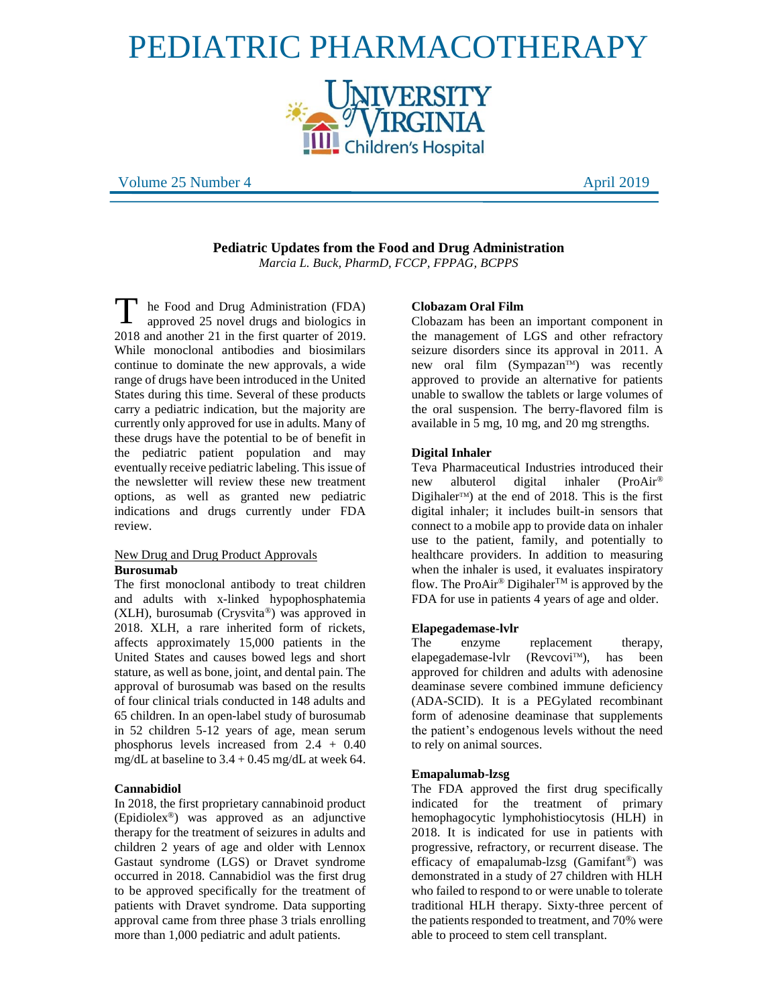# PEDIATRIC PHARMACOTHERAPY



Volume 25 Number 4 April 2019

**Pediatric Updates from the Food and Drug Administration**  *Marcia L. Buck, PharmD, FCCP, FPPAG, BCPPS*

he Food and Drug Administration (FDA) approved 25 novel drugs and biologics in 2018 and another 21 in the first quarter of 2019. While monoclonal antibodies and biosimilars continue to dominate the new approvals, a wide range of drugs have been introduced in the United States during this time. Several of these products carry a pediatric indication, but the majority are currently only approved for use in adults. Many of these drugs have the potential to be of benefit in the pediatric patient population and may eventually receive pediatric labeling. This issue of the newsletter will review these new treatment options, as well as granted new pediatric indications and drugs currently under FDA review. T

# New Drug and Drug Product Approvals **Burosumab**

The first monoclonal antibody to treat children and adults with x-linked hypophosphatemia (XLH), burosumab (Crysvita®) was approved in 2018. XLH, a rare inherited form of rickets, affects approximately 15,000 patients in the United States and causes bowed legs and short stature, as well as bone, joint, and dental pain. The approval of burosumab was based on the results of four clinical trials conducted in 148 adults and 65 children. In an open-label study of burosumab in 52 children 5-12 years of age, mean serum phosphorus levels increased from 2.4 + 0.40 mg/dL at baseline to  $3.4 + 0.45$  mg/dL at week 64.

# **Cannabidiol**

In 2018, the first proprietary cannabinoid product (Epidiolex®) was approved as an adjunctive therapy for the treatment of seizures in adults and children 2 years of age and older with Lennox Gastaut syndrome (LGS) or Dravet syndrome occurred in 2018. Cannabidiol was the first drug to be approved specifically for the treatment of patients with Dravet syndrome. Data supporting approval came from three phase 3 trials enrolling more than 1,000 pediatric and adult patients.

## **Clobazam Oral Film**

Clobazam has been an important component in the management of LGS and other refractory seizure disorders since its approval in 2011. A new oral film (Sympazan<sup>TM</sup>) was recently approved to provide an alternative for patients unable to swallow the tablets or large volumes of the oral suspension. The berry-flavored film is available in 5 mg, 10 mg, and 20 mg strengths.

# **Digital Inhaler**

Teva Pharmaceutical Industries introduced their new albuterol digital inhaler (ProAir® Digihaler<sup>TM</sup>) at the end of 2018. This is the first digital inhaler; it includes built-in sensors that connect to a mobile app to provide data on inhaler use to the patient, family, and potentially to healthcare providers. In addition to measuring when the inhaler is used, it evaluates inspiratory flow. The ProAir® Digihaler<sup>TM</sup> is approved by the FDA for use in patients 4 years of age and older.

# **Elapegademase-lvlr**

The enzyme replacement therapy, elapegademase-lvlr (Revcovi<sup>TM</sup>), has been approved for children and adults with adenosine deaminase severe combined immune deficiency (ADA-SCID). It is a PEGylated recombinant form of adenosine deaminase that supplements the patient's endogenous levels without the need to rely on animal sources.

#### **Emapalumab-lzsg**

The FDA approved the first drug specifically indicated for the treatment of primary hemophagocytic lymphohistiocytosis (HLH) in 2018. It is indicated for use in patients with progressive, refractory, or recurrent disease. The efficacy of emapalumab-lzsg (Gamifant®) was demonstrated in a study of 27 children with HLH who failed to respond to or were unable to tolerate traditional HLH therapy. Sixty-three percent of the patients responded to treatment, and 70% were able to proceed to stem cell transplant.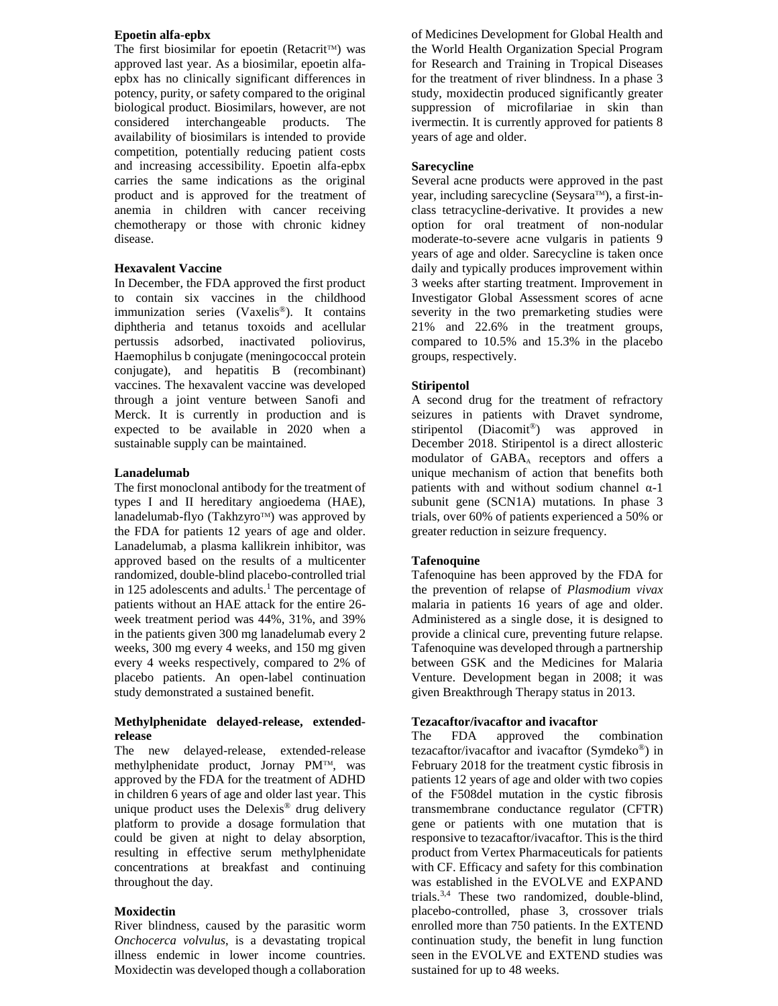# **Epoetin alfa-epbx**

The first biosimilar for epoetin (Retacrit<sup>TM</sup>) was approved last year. As a biosimilar, epoetin alfaepbx has no clinically significant differences in potency, purity, or safety compared to the original biological product. Biosimilars, however, are not considered interchangeable products. The availability of biosimilars is intended to provide competition, potentially reducing patient costs and increasing accessibility. Epoetin alfa-epbx carries the same indications as the original product and is approved for the treatment of anemia in children with cancer receiving chemotherapy or those with chronic kidney disease.

# **Hexavalent Vaccine**

In December, the FDA approved the first product to contain six vaccines in the childhood immunization series (Vaxelis®). It contains diphtheria and tetanus toxoids and acellular pertussis adsorbed, inactivated poliovirus, Haemophilus b conjugate (meningococcal protein conjugate), and hepatitis B (recombinant) vaccines. The hexavalent vaccine was developed through a joint venture between Sanofi and Merck. It is currently in production and is expected to be available in 2020 when a sustainable supply can be maintained.

#### **Lanadelumab**

The first monoclonal antibody for the treatment of types I and II hereditary angioedema (HAE), lanadelumab-flyo (Takhzyro™) was approved by the FDA for patients 12 years of age and older. Lanadelumab, a plasma kallikrein inhibitor, was approved based on the results of a multicenter randomized, double-blind placebo-controlled trial in 125 adolescents and adults.<sup>1</sup> The percentage of patients without an HAE attack for the entire 26 week treatment period was 44%, 31%, and 39% in the patients given 300 mg lanadelumab every 2 weeks, 300 mg every 4 weeks, and 150 mg given every 4 weeks respectively, compared to 2% of placebo patients. An open-label continuation study demonstrated a sustained benefit.

# **Methylphenidate delayed-release, extendedrelease**

The new delayed-release, extended-release methylphenidate product, Jornay PMTM, was approved by the FDA for the treatment of ADHD in children 6 years of age and older last year. This unique product uses the Delexis® drug delivery platform to provide a dosage formulation that could be given at night to delay absorption, resulting in effective serum methylphenidate concentrations at breakfast and continuing throughout the day.

#### **Moxidectin**

River blindness, caused by the parasitic worm *Onchocerca volvulus*, is a devastating tropical illness endemic in lower income countries. Moxidectin was developed though a collaboration of Medicines Development for Global Health and the World Health Organization Special Program for Research and Training in Tropical Diseases for the treatment of river blindness. In a phase 3 study, moxidectin produced significantly greater suppression of microfilariae in skin than ivermectin. It is currently approved for patients 8 years of age and older.

# **Sarecycline**

Several acne products were approved in the past year, including sarecycline (Seysara™), a first-inclass tetracycline-derivative. It provides a new option for oral treatment of non-nodular moderate-to-severe acne vulgaris in patients 9 years of age and older. Sarecycline is taken once daily and typically produces improvement within 3 weeks after starting treatment. Improvement in Investigator Global Assessment scores of acne severity in the two premarketing studies were 21% and 22.6% in the treatment groups, compared to 10.5% and 15.3% in the placebo groups, respectively.

#### **Stiripentol**

A second drug for the treatment of refractory seizures in patients with Dravet syndrome, stiripentol (Diacomit®) was approved in December 2018. Stiripentol is a direct allosteric modulator of GABA<sub>A</sub> receptors and offers a unique mechanism of action that benefits both patients with and without sodium channel α-1 subunit gene (SCN1A) mutations*.* In phase 3 trials, over 60% of patients experienced a 50% or greater reduction in seizure frequency.

#### **Tafenoquine**

Tafenoquine has been approved by the FDA for the prevention of relapse of *Plasmodium vivax* malaria in patients 16 years of age and older. Administered as a single dose, it is designed to provide a clinical cure, preventing future relapse. Tafenoquine was developed through a partnership between GSK and the Medicines for Malaria Venture. Development began in 2008; it was given Breakthrough Therapy status in 2013.

## **Tezacaftor/ivacaftor and ivacaftor**

The FDA approved the combination tezacaftor/ivacaftor and ivacaftor (Symdeko®) in February 2018 for the treatment cystic fibrosis in patients 12 years of age and older with two copies of the F508del mutation in the cystic fibrosis transmembrane conductance regulator (CFTR) gene or patients with one mutation that is responsive to tezacaftor/ivacaftor. This is the third product from Vertex Pharmaceuticals for patients with CF. Efficacy and safety for this combination was established in the EVOLVE and EXPAND trials.3,4 These two randomized, double-blind, placebo-controlled, phase 3, crossover trials enrolled more than 750 patients. In the EXTEND continuation study, the benefit in lung function seen in the EVOLVE and EXTEND studies was sustained for up to 48 weeks.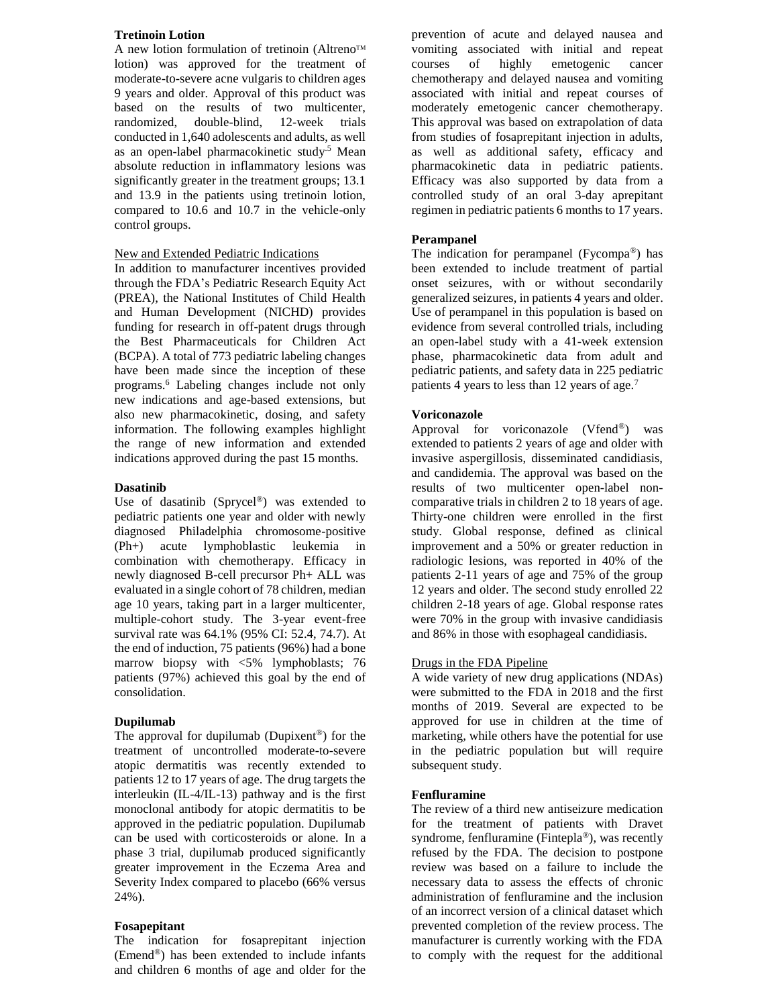# **Tretinoin Lotion**

A new lotion formulation of tretinoin (Altreno™ lotion) was approved for the treatment of moderate-to-severe acne vulgaris to children ages 9 years and older. Approval of this product was based on the results of two multicenter, randomized, double-blind, 12-week trials conducted in 1,640 adolescents and adults, as well as an open-label pharmacokinetic study.5 Mean absolute reduction in inflammatory lesions was significantly greater in the treatment groups; 13.1 and 13.9 in the patients using tretinoin lotion, compared to 10.6 and 10.7 in the vehicle-only control groups.

# New and Extended Pediatric Indications

In addition to manufacturer incentives provided through the FDA's Pediatric Research Equity Act (PREA), the National Institutes of Child Health and Human Development (NICHD) provides funding for research in off-patent drugs through the Best Pharmaceuticals for Children Act (BCPA). A total of 773 pediatric labeling changes have been made since the inception of these programs. <sup>6</sup> Labeling changes include not only new indications and age-based extensions, but also new pharmacokinetic, dosing, and safety information. The following examples highlight the range of new information and extended indications approved during the past 15 months.

# **Dasatinib**

Use of dasatinib (Sprycel®) was extended to pediatric patients one year and older with newly diagnosed Philadelphia chromosome-positive (Ph+) acute lymphoblastic leukemia in combination with chemotherapy. Efficacy in newly diagnosed B-cell precursor Ph+ ALL was evaluated in a single cohort of 78 children, median age 10 years, taking part in a larger multicenter, multiple-cohort study. The 3-year event-free survival rate was 64.1% (95% CI: 52.4, 74.7). At the end of induction, 75 patients (96%) had a bone marrow biopsy with <5% lymphoblasts; 76 patients (97%) achieved this goal by the end of consolidation.

#### **Dupilumab**

The approval for dupilumab (Dupixent<sup>®</sup>) for the treatment of uncontrolled moderate-to-severe atopic dermatitis was recently extended to patients 12 to 17 years of age. The drug targets the interleukin (IL-4/IL-13) pathway and is the first monoclonal antibody for atopic dermatitis to be approved in the pediatric population. Dupilumab can be used with corticosteroids or alone. In a phase 3 trial, dupilumab produced significantly greater improvement in the Eczema Area and Severity Index compared to placebo (66% versus 24%).

# **Fosapepitant**

The indication for fosaprepitant injection (Emend®) has been extended to include infants and children 6 months of age and older for the

prevention of acute and delayed nausea and vomiting associated with initial and repeat courses of highly emetogenic cancer chemotherapy and delayed nausea and vomiting associated with initial and repeat courses of moderately emetogenic cancer chemotherapy. This approval was based on extrapolation of data from studies of fosaprepitant injection in adults, as well as additional safety, efficacy and pharmacokinetic data in pediatric patients. Efficacy was also supported by data from a controlled study of an oral 3-day aprepitant regimen in pediatric patients 6 months to 17 years.

## **Perampanel**

The indication for perampanel (Fycompa®) has been extended to include treatment of partial onset seizures, with or without secondarily generalized seizures, in patients 4 years and older. Use of perampanel in this population is based on evidence from several controlled trials, including an open-label study with a 41-week extension phase, pharmacokinetic data from adult and pediatric patients, and safety data in 225 pediatric patients 4 years to less than 12 years of age.<sup>7</sup>

#### **Voriconazole**

Approval for voriconazole (Vfend®) was extended to patients 2 years of age and older with invasive aspergillosis, disseminated candidiasis, and candidemia. The approval was based on the results of two multicenter open-label noncomparative trials in children 2 to 18 years of age. Thirty-one children were enrolled in the first study. Global response, defined as clinical improvement and a 50% or greater reduction in radiologic lesions, was reported in 40% of the patients 2-11 years of age and 75% of the group 12 years and older. The second study enrolled 22 children 2-18 years of age. Global response rates were 70% in the group with invasive candidiasis and 86% in those with esophageal candidiasis.

## Drugs in the FDA Pipeline

A wide variety of new drug applications (NDAs) were submitted to the FDA in 2018 and the first months of 2019. Several are expected to be approved for use in children at the time of marketing, while others have the potential for use in the pediatric population but will require subsequent study.

#### **Fenfluramine**

The review of a third new antiseizure medication for the treatment of patients with Dravet syndrome, fenfluramine (Fintepla®), was recently refused by the FDA. The decision to postpone review was based on a failure to include the necessary data to assess the effects of chronic administration of fenfluramine and the inclusion of an incorrect version of a clinical dataset which prevented completion of the review process. The manufacturer is currently working with the FDA to comply with the request for the additional